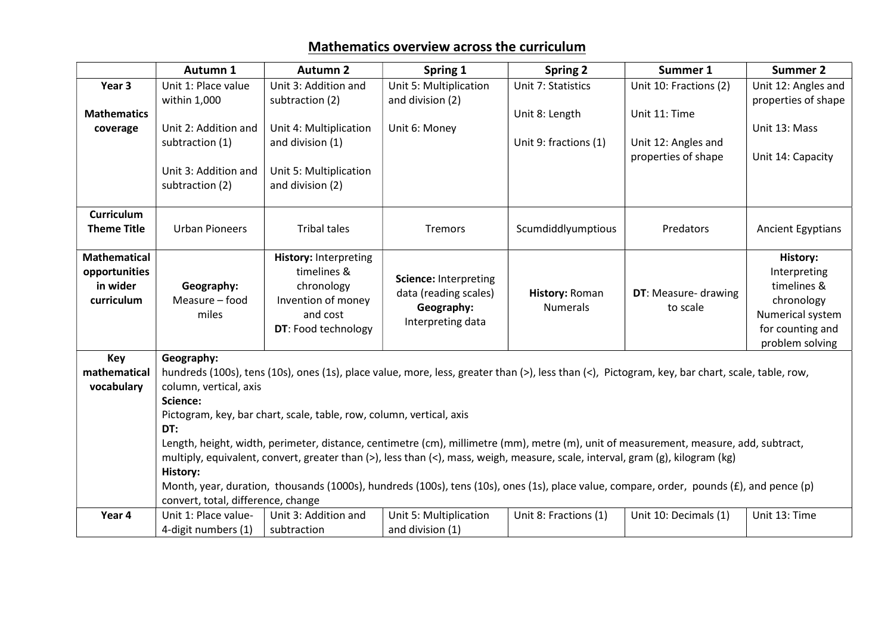## Mathematics overview across the curriculum

|                     | Autumn 1                                                                                                                                                                                                                                                                                                                                                           | <b>Autumn 2</b>                | Spring 1               | <b>Spring 2</b>       | Summer 1               | <b>Summer 2</b>                      |  |
|---------------------|--------------------------------------------------------------------------------------------------------------------------------------------------------------------------------------------------------------------------------------------------------------------------------------------------------------------------------------------------------------------|--------------------------------|------------------------|-----------------------|------------------------|--------------------------------------|--|
| Year 3              | Unit 1: Place value                                                                                                                                                                                                                                                                                                                                                | Unit 3: Addition and           | Unit 5: Multiplication | Unit 7: Statistics    | Unit 10: Fractions (2) | Unit 12: Angles and                  |  |
|                     | within 1,000                                                                                                                                                                                                                                                                                                                                                       | subtraction (2)                | and division (2)       |                       |                        | properties of shape                  |  |
| <b>Mathematics</b>  |                                                                                                                                                                                                                                                                                                                                                                    |                                |                        | Unit 8: Length        | Unit 11: Time          |                                      |  |
| coverage            | Unit 2: Addition and                                                                                                                                                                                                                                                                                                                                               | Unit 4: Multiplication         | Unit 6: Money          |                       |                        | Unit 13: Mass                        |  |
|                     | subtraction (1)                                                                                                                                                                                                                                                                                                                                                    | and division (1)               |                        | Unit 9: fractions (1) | Unit 12: Angles and    |                                      |  |
|                     |                                                                                                                                                                                                                                                                                                                                                                    |                                |                        |                       | properties of shape    | Unit 14: Capacity                    |  |
|                     | Unit 3: Addition and                                                                                                                                                                                                                                                                                                                                               | Unit 5: Multiplication         |                        |                       |                        |                                      |  |
|                     | subtraction (2)                                                                                                                                                                                                                                                                                                                                                    | and division (2)               |                        |                       |                        |                                      |  |
|                     |                                                                                                                                                                                                                                                                                                                                                                    |                                |                        |                       |                        |                                      |  |
| <b>Curriculum</b>   |                                                                                                                                                                                                                                                                                                                                                                    |                                |                        |                       |                        |                                      |  |
| <b>Theme Title</b>  | <b>Urban Pioneers</b>                                                                                                                                                                                                                                                                                                                                              | <b>Tribal tales</b>            | <b>Tremors</b>         | Scumdiddlyumptious    | Predators              | <b>Ancient Egyptians</b>             |  |
|                     |                                                                                                                                                                                                                                                                                                                                                                    |                                |                        |                       |                        |                                      |  |
| <b>Mathematical</b> |                                                                                                                                                                                                                                                                                                                                                                    | <b>History: Interpreting</b>   |                        |                       |                        | History:                             |  |
| opportunities       |                                                                                                                                                                                                                                                                                                                                                                    | timelines &                    | Science: Interpreting  |                       |                        | Interpreting                         |  |
| in wider            | Geography:<br>Measure - food                                                                                                                                                                                                                                                                                                                                       | chronology                     | data (reading scales)  | History: Roman        | DT: Measure- drawing   | timelines &                          |  |
| curriculum          | miles                                                                                                                                                                                                                                                                                                                                                              | Invention of money<br>and cost | Geography:             | <b>Numerals</b>       | to scale               | chronology                           |  |
|                     |                                                                                                                                                                                                                                                                                                                                                                    | DT: Food technology            | Interpreting data      |                       |                        | Numerical system<br>for counting and |  |
|                     |                                                                                                                                                                                                                                                                                                                                                                    |                                |                        |                       |                        | problem solving                      |  |
| <b>Key</b>          | Geography:                                                                                                                                                                                                                                                                                                                                                         |                                |                        |                       |                        |                                      |  |
| mathematical        | hundreds (100s), tens (10s), ones (1s), place value, more, less, greater than (>), less than (<), Pictogram, key, bar chart, scale, table, row,                                                                                                                                                                                                                    |                                |                        |                       |                        |                                      |  |
| vocabulary          | column, vertical, axis                                                                                                                                                                                                                                                                                                                                             |                                |                        |                       |                        |                                      |  |
|                     | Science:<br>Pictogram, key, bar chart, scale, table, row, column, vertical, axis<br>DT:<br>Length, height, width, perimeter, distance, centimetre (cm), millimetre (mm), metre (m), unit of measurement, measure, add, subtract,<br>multiply, equivalent, convert, greater than (>), less than (<), mass, weigh, measure, scale, interval, gram (g), kilogram (kg) |                                |                        |                       |                        |                                      |  |
|                     |                                                                                                                                                                                                                                                                                                                                                                    |                                |                        |                       |                        |                                      |  |
|                     |                                                                                                                                                                                                                                                                                                                                                                    |                                |                        |                       |                        |                                      |  |
|                     |                                                                                                                                                                                                                                                                                                                                                                    |                                |                        |                       |                        |                                      |  |
|                     |                                                                                                                                                                                                                                                                                                                                                                    |                                |                        |                       |                        |                                      |  |
|                     | <b>History:</b>                                                                                                                                                                                                                                                                                                                                                    |                                |                        |                       |                        |                                      |  |
|                     | Month, year, duration, thousands (1000s), hundreds (100s), tens (10s), ones (1s), place value, compare, order, pounds (£), and pence (p)                                                                                                                                                                                                                           |                                |                        |                       |                        |                                      |  |
|                     | convert, total, difference, change                                                                                                                                                                                                                                                                                                                                 |                                |                        |                       |                        |                                      |  |
| Year 4              | Unit 1: Place value-                                                                                                                                                                                                                                                                                                                                               | Unit 3: Addition and           | Unit 5: Multiplication | Unit 8: Fractions (1) | Unit 10: Decimals (1)  | Unit 13: Time                        |  |
|                     | 4-digit numbers (1)                                                                                                                                                                                                                                                                                                                                                | subtraction                    | and division (1)       |                       |                        |                                      |  |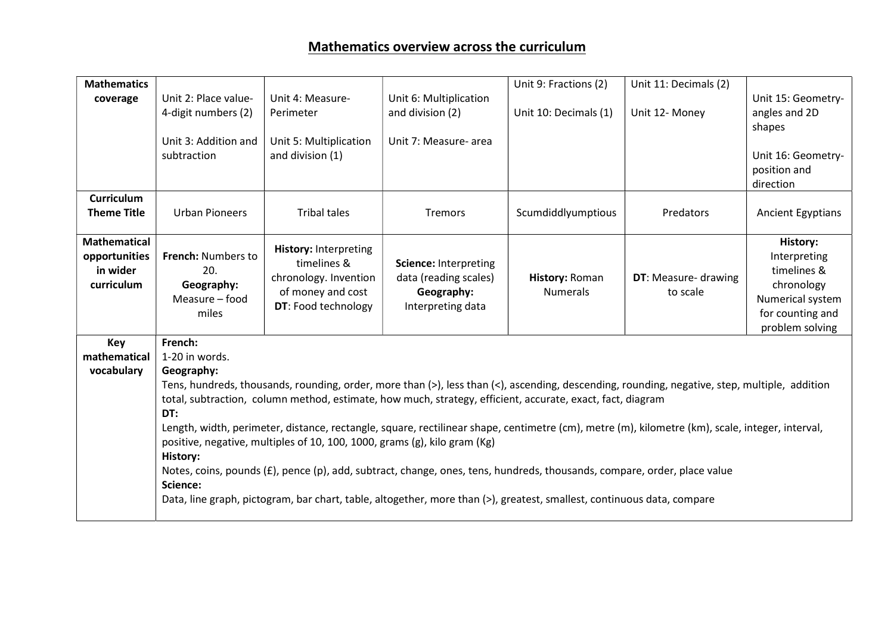## Mathematics overview across the curriculum

| Unit 2: Place value-<br>Unit 4: Measure-<br>Unit 6: Multiplication<br>coverage<br>4-digit numbers (2)<br>and division (2)<br>Unit 10: Decimals (1)<br>Unit 12- Money<br>angles and 2D<br>Perimeter<br>shapes<br>Unit 3: Addition and<br>Unit 5: Multiplication<br>Unit 7: Measure- area<br>and division (1)<br>subtraction<br>position and<br>direction<br><b>Curriculum</b><br><b>Theme Title</b><br><b>Urban Pioneers</b><br><b>Tribal tales</b><br>Scumdiddlyumptious<br><b>Tremors</b><br>Predators<br><b>Ancient Egyptians</b><br><b>Mathematical</b><br><b>History:</b><br><b>History: Interpreting</b><br>French: Numbers to<br>opportunities<br>Interpreting<br>timelines &<br>Science: Interpreting<br>timelines &<br>in wider<br>20.<br>chronology. Invention<br>data (reading scales)<br>DT: Measure- drawing<br>History: Roman<br>chronology<br>curriculum<br>Geography:<br>of money and cost<br><b>Numerals</b><br>Geography:<br>to scale<br>Measure - food<br>DT: Food technology<br>Interpreting data<br>miles | <b>Mathematics</b> |                                                                                                                                                                                                                                                                                                                                                                                                                                                                                                                              |  | Unit 9: Fractions (2) | Unit 11: Decimals (2) |                                                         |  |  |
|-------------------------------------------------------------------------------------------------------------------------------------------------------------------------------------------------------------------------------------------------------------------------------------------------------------------------------------------------------------------------------------------------------------------------------------------------------------------------------------------------------------------------------------------------------------------------------------------------------------------------------------------------------------------------------------------------------------------------------------------------------------------------------------------------------------------------------------------------------------------------------------------------------------------------------------------------------------------------------------------------------------------------------|--------------------|------------------------------------------------------------------------------------------------------------------------------------------------------------------------------------------------------------------------------------------------------------------------------------------------------------------------------------------------------------------------------------------------------------------------------------------------------------------------------------------------------------------------------|--|-----------------------|-----------------------|---------------------------------------------------------|--|--|
|                                                                                                                                                                                                                                                                                                                                                                                                                                                                                                                                                                                                                                                                                                                                                                                                                                                                                                                                                                                                                               |                    |                                                                                                                                                                                                                                                                                                                                                                                                                                                                                                                              |  |                       |                       | Unit 15: Geometry-                                      |  |  |
|                                                                                                                                                                                                                                                                                                                                                                                                                                                                                                                                                                                                                                                                                                                                                                                                                                                                                                                                                                                                                               |                    |                                                                                                                                                                                                                                                                                                                                                                                                                                                                                                                              |  |                       |                       |                                                         |  |  |
|                                                                                                                                                                                                                                                                                                                                                                                                                                                                                                                                                                                                                                                                                                                                                                                                                                                                                                                                                                                                                               |                    |                                                                                                                                                                                                                                                                                                                                                                                                                                                                                                                              |  |                       |                       |                                                         |  |  |
|                                                                                                                                                                                                                                                                                                                                                                                                                                                                                                                                                                                                                                                                                                                                                                                                                                                                                                                                                                                                                               |                    |                                                                                                                                                                                                                                                                                                                                                                                                                                                                                                                              |  |                       |                       | Unit 16: Geometry-                                      |  |  |
|                                                                                                                                                                                                                                                                                                                                                                                                                                                                                                                                                                                                                                                                                                                                                                                                                                                                                                                                                                                                                               |                    |                                                                                                                                                                                                                                                                                                                                                                                                                                                                                                                              |  |                       |                       |                                                         |  |  |
|                                                                                                                                                                                                                                                                                                                                                                                                                                                                                                                                                                                                                                                                                                                                                                                                                                                                                                                                                                                                                               |                    |                                                                                                                                                                                                                                                                                                                                                                                                                                                                                                                              |  |                       |                       |                                                         |  |  |
|                                                                                                                                                                                                                                                                                                                                                                                                                                                                                                                                                                                                                                                                                                                                                                                                                                                                                                                                                                                                                               |                    |                                                                                                                                                                                                                                                                                                                                                                                                                                                                                                                              |  |                       |                       |                                                         |  |  |
|                                                                                                                                                                                                                                                                                                                                                                                                                                                                                                                                                                                                                                                                                                                                                                                                                                                                                                                                                                                                                               |                    |                                                                                                                                                                                                                                                                                                                                                                                                                                                                                                                              |  |                       |                       |                                                         |  |  |
|                                                                                                                                                                                                                                                                                                                                                                                                                                                                                                                                                                                                                                                                                                                                                                                                                                                                                                                                                                                                                               |                    |                                                                                                                                                                                                                                                                                                                                                                                                                                                                                                                              |  |                       |                       | Numerical system<br>for counting and<br>problem solving |  |  |
| French:<br>Key                                                                                                                                                                                                                                                                                                                                                                                                                                                                                                                                                                                                                                                                                                                                                                                                                                                                                                                                                                                                                |                    |                                                                                                                                                                                                                                                                                                                                                                                                                                                                                                                              |  |                       |                       |                                                         |  |  |
| mathematical                                                                                                                                                                                                                                                                                                                                                                                                                                                                                                                                                                                                                                                                                                                                                                                                                                                                                                                                                                                                                  |                    | 1-20 in words.                                                                                                                                                                                                                                                                                                                                                                                                                                                                                                               |  |                       |                       |                                                         |  |  |
| vocabulary                                                                                                                                                                                                                                                                                                                                                                                                                                                                                                                                                                                                                                                                                                                                                                                                                                                                                                                                                                                                                    |                    | Geography:<br>Tens, hundreds, thousands, rounding, order, more than (>), less than (<), ascending, descending, rounding, negative, step, multiple, addition<br>total, subtraction, column method, estimate, how much, strategy, efficient, accurate, exact, fact, diagram<br>DT:<br>Length, width, perimeter, distance, rectangle, square, rectilinear shape, centimetre (cm), metre (m), kilometre (km), scale, integer, interval,<br>positive, negative, multiples of 10, 100, 1000, grams (g), kilo gram (Kg)<br>History: |  |                       |                       |                                                         |  |  |
|                                                                                                                                                                                                                                                                                                                                                                                                                                                                                                                                                                                                                                                                                                                                                                                                                                                                                                                                                                                                                               |                    |                                                                                                                                                                                                                                                                                                                                                                                                                                                                                                                              |  |                       |                       |                                                         |  |  |
|                                                                                                                                                                                                                                                                                                                                                                                                                                                                                                                                                                                                                                                                                                                                                                                                                                                                                                                                                                                                                               |                    |                                                                                                                                                                                                                                                                                                                                                                                                                                                                                                                              |  |                       |                       |                                                         |  |  |
|                                                                                                                                                                                                                                                                                                                                                                                                                                                                                                                                                                                                                                                                                                                                                                                                                                                                                                                                                                                                                               |                    |                                                                                                                                                                                                                                                                                                                                                                                                                                                                                                                              |  |                       |                       |                                                         |  |  |
|                                                                                                                                                                                                                                                                                                                                                                                                                                                                                                                                                                                                                                                                                                                                                                                                                                                                                                                                                                                                                               |                    |                                                                                                                                                                                                                                                                                                                                                                                                                                                                                                                              |  |                       |                       |                                                         |  |  |
|                                                                                                                                                                                                                                                                                                                                                                                                                                                                                                                                                                                                                                                                                                                                                                                                                                                                                                                                                                                                                               |                    |                                                                                                                                                                                                                                                                                                                                                                                                                                                                                                                              |  |                       |                       |                                                         |  |  |
| Notes, coins, pounds (£), pence (p), add, subtract, change, ones, tens, hundreds, thousands, compare, order, place value<br>Science:                                                                                                                                                                                                                                                                                                                                                                                                                                                                                                                                                                                                                                                                                                                                                                                                                                                                                          |                    |                                                                                                                                                                                                                                                                                                                                                                                                                                                                                                                              |  |                       |                       |                                                         |  |  |
| Data, line graph, pictogram, bar chart, table, altogether, more than (>), greatest, smallest, continuous data, compare                                                                                                                                                                                                                                                                                                                                                                                                                                                                                                                                                                                                                                                                                                                                                                                                                                                                                                        |                    |                                                                                                                                                                                                                                                                                                                                                                                                                                                                                                                              |  |                       |                       |                                                         |  |  |
|                                                                                                                                                                                                                                                                                                                                                                                                                                                                                                                                                                                                                                                                                                                                                                                                                                                                                                                                                                                                                               |                    |                                                                                                                                                                                                                                                                                                                                                                                                                                                                                                                              |  |                       |                       |                                                         |  |  |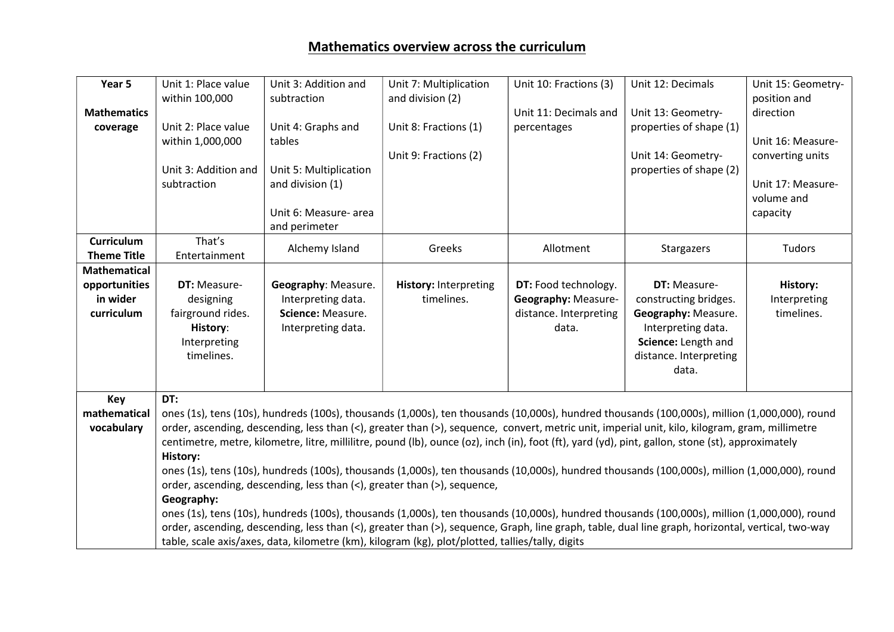| Year 5                     | Unit 1: Place value<br>within 100,000                                                                                                                                                                                                                                                               | Unit 3: Addition and<br>subtraction     | Unit 7: Multiplication<br>and division (2)                                                                                                    | Unit 10: Fractions (3)          | Unit 12: Decimals                         | Unit 15: Geometry-<br>position and |
|----------------------------|-----------------------------------------------------------------------------------------------------------------------------------------------------------------------------------------------------------------------------------------------------------------------------------------------------|-----------------------------------------|-----------------------------------------------------------------------------------------------------------------------------------------------|---------------------------------|-------------------------------------------|------------------------------------|
| <b>Mathematics</b>         |                                                                                                                                                                                                                                                                                                     |                                         |                                                                                                                                               | Unit 11: Decimals and           | Unit 13: Geometry-                        | direction                          |
| coverage                   | Unit 2: Place value                                                                                                                                                                                                                                                                                 | Unit 4: Graphs and                      | Unit 8: Fractions (1)                                                                                                                         | percentages                     | properties of shape (1)                   |                                    |
|                            | within 1,000,000                                                                                                                                                                                                                                                                                    | tables                                  |                                                                                                                                               |                                 |                                           | Unit 16: Measure-                  |
|                            |                                                                                                                                                                                                                                                                                                     |                                         | Unit 9: Fractions (2)                                                                                                                         |                                 | Unit 14: Geometry-                        | converting units                   |
|                            | Unit 3: Addition and                                                                                                                                                                                                                                                                                | Unit 5: Multiplication                  |                                                                                                                                               |                                 | properties of shape (2)                   |                                    |
|                            | subtraction                                                                                                                                                                                                                                                                                         | and division (1)                        |                                                                                                                                               |                                 |                                           | Unit 17: Measure-                  |
|                            |                                                                                                                                                                                                                                                                                                     |                                         |                                                                                                                                               |                                 |                                           | volume and                         |
|                            |                                                                                                                                                                                                                                                                                                     | Unit 6: Measure- area<br>and perimeter  |                                                                                                                                               |                                 |                                           | capacity                           |
| <b>Curriculum</b>          | That's                                                                                                                                                                                                                                                                                              |                                         |                                                                                                                                               |                                 |                                           |                                    |
| <b>Theme Title</b>         | Entertainment                                                                                                                                                                                                                                                                                       | Alchemy Island                          | Greeks                                                                                                                                        | Allotment                       | Stargazers                                | Tudors                             |
| <b>Mathematical</b>        |                                                                                                                                                                                                                                                                                                     |                                         |                                                                                                                                               |                                 |                                           |                                    |
| opportunities              | <b>DT: Measure-</b>                                                                                                                                                                                                                                                                                 | Geography: Measure.                     | <b>History: Interpreting</b>                                                                                                                  | DT: Food technology.            | <b>DT: Measure-</b>                       | History:                           |
| in wider                   | designing                                                                                                                                                                                                                                                                                           | Interpreting data.                      | timelines.                                                                                                                                    | Geography: Measure-             | constructing bridges.                     | Interpreting                       |
| curriculum                 | fairground rides.<br>History:                                                                                                                                                                                                                                                                       | Science: Measure.<br>Interpreting data. |                                                                                                                                               | distance. Interpreting<br>data. | Geography: Measure.<br>Interpreting data. | timelines.                         |
|                            | Interpreting                                                                                                                                                                                                                                                                                        |                                         |                                                                                                                                               |                                 | Science: Length and                       |                                    |
|                            | timelines.                                                                                                                                                                                                                                                                                          |                                         |                                                                                                                                               |                                 | distance. Interpreting                    |                                    |
|                            |                                                                                                                                                                                                                                                                                                     |                                         |                                                                                                                                               |                                 | data.                                     |                                    |
|                            |                                                                                                                                                                                                                                                                                                     |                                         |                                                                                                                                               |                                 |                                           |                                    |
| Key                        | DT:                                                                                                                                                                                                                                                                                                 |                                         |                                                                                                                                               |                                 |                                           |                                    |
| mathematical<br>vocabulary | ones (1s), tens (10s), hundreds (100s), thousands (1,000s), ten thousands (10,000s), hundred thousands (100,000s), million (1,000,000), round                                                                                                                                                       |                                         |                                                                                                                                               |                                 |                                           |                                    |
|                            | order, ascending, descending, less than (<), greater than (>), sequence, convert, metric unit, imperial unit, kilo, kilogram, gram, millimetre<br>centimetre, metre, kilometre, litre, millilitre, pound (lb), ounce (oz), inch (in), foot (ft), yard (yd), pint, gallon, stone (st), approximately |                                         |                                                                                                                                               |                                 |                                           |                                    |
|                            | <b>History:</b>                                                                                                                                                                                                                                                                                     |                                         |                                                                                                                                               |                                 |                                           |                                    |
|                            | ones (1s), tens (10s), hundreds (100s), thousands (1,000s), ten thousands (10,000s), hundred thousands (100,000s), million (1,000,000), round                                                                                                                                                       |                                         |                                                                                                                                               |                                 |                                           |                                    |
|                            | order, ascending, descending, less than (<), greater than (>), sequence,                                                                                                                                                                                                                            |                                         |                                                                                                                                               |                                 |                                           |                                    |
|                            | Geography:                                                                                                                                                                                                                                                                                          |                                         |                                                                                                                                               |                                 |                                           |                                    |
|                            |                                                                                                                                                                                                                                                                                                     |                                         | ones (1s), tens (10s), hundreds (100s), thousands (1,000s), ten thousands (10,000s), hundred thousands (100,000s), million (1,000,000), round |                                 |                                           |                                    |
|                            | order, ascending, descending, less than (<), greater than (>), sequence, Graph, line graph, table, dual line graph, horizontal, vertical, two-way                                                                                                                                                   |                                         |                                                                                                                                               |                                 |                                           |                                    |
|                            | table, scale axis/axes, data, kilometre (km), kilogram (kg), plot/plotted, tallies/tally, digits                                                                                                                                                                                                    |                                         |                                                                                                                                               |                                 |                                           |                                    |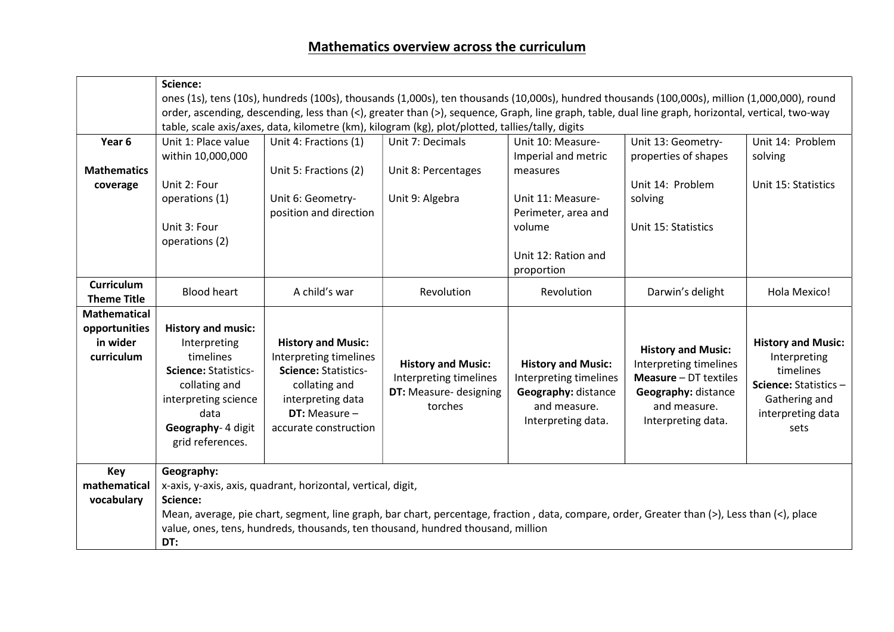|                     | Science:                                                                                                                                          |                                                              |                                                                                                                                              |                           |                              |                           |  |
|---------------------|---------------------------------------------------------------------------------------------------------------------------------------------------|--------------------------------------------------------------|----------------------------------------------------------------------------------------------------------------------------------------------|---------------------------|------------------------------|---------------------------|--|
|                     | ones (1s), tens (10s), hundreds (100s), thousands (1,000s), ten thousands (10,000s), hundred thousands (100,000s), million (1,000,000), round     |                                                              |                                                                                                                                              |                           |                              |                           |  |
|                     | order, ascending, descending, less than (<), greater than (>), sequence, Graph, line graph, table, dual line graph, horizontal, vertical, two-way |                                                              |                                                                                                                                              |                           |                              |                           |  |
|                     | table, scale axis/axes, data, kilometre (km), kilogram (kg), plot/plotted, tallies/tally, digits                                                  |                                                              |                                                                                                                                              |                           |                              |                           |  |
| Year 6              | Unit 1: Place value                                                                                                                               | Unit 4: Fractions (1)                                        | Unit 7: Decimals                                                                                                                             | Unit 10: Measure-         | Unit 13: Geometry-           | Unit 14: Problem          |  |
|                     | within 10,000,000                                                                                                                                 |                                                              |                                                                                                                                              | Imperial and metric       | properties of shapes         | solving                   |  |
| <b>Mathematics</b>  |                                                                                                                                                   | Unit 5: Fractions (2)                                        | Unit 8: Percentages                                                                                                                          | measures                  |                              |                           |  |
| coverage            | Unit 2: Four                                                                                                                                      |                                                              |                                                                                                                                              |                           | Unit 14: Problem             | Unit 15: Statistics       |  |
|                     | operations (1)                                                                                                                                    | Unit 6: Geometry-                                            | Unit 9: Algebra                                                                                                                              | Unit 11: Measure-         | solving                      |                           |  |
|                     |                                                                                                                                                   | position and direction                                       |                                                                                                                                              | Perimeter, area and       |                              |                           |  |
|                     | Unit 3: Four                                                                                                                                      |                                                              |                                                                                                                                              | volume                    | Unit 15: Statistics          |                           |  |
|                     | operations (2)                                                                                                                                    |                                                              |                                                                                                                                              |                           |                              |                           |  |
|                     |                                                                                                                                                   |                                                              |                                                                                                                                              | Unit 12: Ration and       |                              |                           |  |
|                     |                                                                                                                                                   |                                                              |                                                                                                                                              | proportion                |                              |                           |  |
| <b>Curriculum</b>   | <b>Blood heart</b>                                                                                                                                | A child's war                                                | Revolution                                                                                                                                   | Revolution                | Darwin's delight             | Hola Mexico!              |  |
| <b>Theme Title</b>  |                                                                                                                                                   |                                                              |                                                                                                                                              |                           |                              |                           |  |
| <b>Mathematical</b> |                                                                                                                                                   |                                                              |                                                                                                                                              |                           |                              |                           |  |
| opportunities       | <b>History and music:</b>                                                                                                                         |                                                              |                                                                                                                                              |                           |                              |                           |  |
| in wider            | Interpreting                                                                                                                                      | <b>History and Music:</b>                                    |                                                                                                                                              |                           | <b>History and Music:</b>    | <b>History and Music:</b> |  |
| curriculum          | timelines                                                                                                                                         | Interpreting timelines                                       | <b>History and Music:</b>                                                                                                                    | <b>History and Music:</b> | Interpreting timelines       | Interpreting              |  |
|                     | <b>Science: Statistics-</b>                                                                                                                       | <b>Science: Statistics-</b>                                  | Interpreting timelines                                                                                                                       | Interpreting timelines    | <b>Measure - DT textiles</b> | timelines                 |  |
|                     | collating and                                                                                                                                     | collating and                                                | DT: Measure- designing                                                                                                                       | Geography: distance       | Geography: distance          | Science: Statistics-      |  |
|                     | interpreting science                                                                                                                              | interpreting data                                            | torches                                                                                                                                      | and measure.              | and measure.                 | Gathering and             |  |
|                     | data                                                                                                                                              | DT: Measure $-$                                              |                                                                                                                                              | Interpreting data.        | Interpreting data.           | interpreting data         |  |
|                     | Geography- 4 digit                                                                                                                                | accurate construction                                        |                                                                                                                                              |                           |                              | sets                      |  |
|                     | grid references.                                                                                                                                  |                                                              |                                                                                                                                              |                           |                              |                           |  |
|                     |                                                                                                                                                   |                                                              |                                                                                                                                              |                           |                              |                           |  |
| Key                 | Geography:                                                                                                                                        |                                                              |                                                                                                                                              |                           |                              |                           |  |
| mathematical        |                                                                                                                                                   | x-axis, y-axis, axis, quadrant, horizontal, vertical, digit, |                                                                                                                                              |                           |                              |                           |  |
| vocabulary          | Science:                                                                                                                                          |                                                              |                                                                                                                                              |                           |                              |                           |  |
|                     |                                                                                                                                                   |                                                              | Mean, average, pie chart, segment, line graph, bar chart, percentage, fraction, data, compare, order, Greater than (>), Less than (<), place |                           |                              |                           |  |
|                     | value, ones, tens, hundreds, thousands, ten thousand, hundred thousand, million<br>DT:                                                            |                                                              |                                                                                                                                              |                           |                              |                           |  |
|                     |                                                                                                                                                   |                                                              |                                                                                                                                              |                           |                              |                           |  |